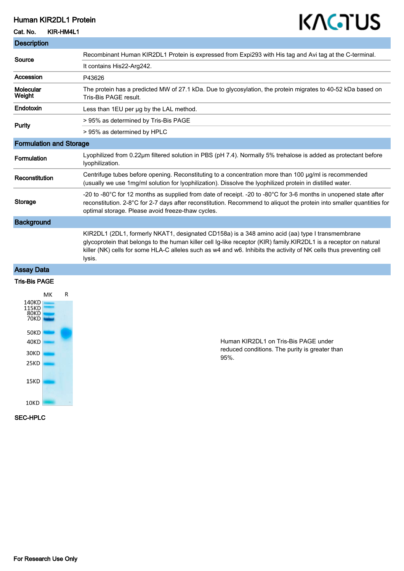#### Human KIR2DL1 Protein

Cat. No. KIR-HM4L1

# KAGTUS

| <b>Description</b>             |                                                                                                                                                                                                                                                                                                                                                      |
|--------------------------------|------------------------------------------------------------------------------------------------------------------------------------------------------------------------------------------------------------------------------------------------------------------------------------------------------------------------------------------------------|
| Source                         | Recombinant Human KIR2DL1 Protein is expressed from Expi293 with His tag and Avi tag at the C-terminal.                                                                                                                                                                                                                                              |
|                                | It contains His22-Arg242.                                                                                                                                                                                                                                                                                                                            |
| Accession                      | P43626                                                                                                                                                                                                                                                                                                                                               |
| Molecular<br>Weight            | The protein has a predicted MW of 27.1 kDa. Due to glycosylation, the protein migrates to 40-52 kDa based on<br>Tris-Bis PAGE result.                                                                                                                                                                                                                |
| <b>Endotoxin</b>               | Less than 1EU per ug by the LAL method.                                                                                                                                                                                                                                                                                                              |
| <b>Purity</b>                  | > 95% as determined by Tris-Bis PAGE                                                                                                                                                                                                                                                                                                                 |
|                                | > 95% as determined by HPLC                                                                                                                                                                                                                                                                                                                          |
| <b>Formulation and Storage</b> |                                                                                                                                                                                                                                                                                                                                                      |
| <b>Formulation</b>             | Lyophilized from 0.22µm filtered solution in PBS (pH 7.4). Normally 5% trehalose is added as protectant before<br>Iyophilization.                                                                                                                                                                                                                    |
| Reconstitution                 | Centrifuge tubes before opening. Reconstituting to a concentration more than 100 µg/ml is recommended<br>(usually we use 1mg/ml solution for lyophilization). Dissolve the lyophilized protein in distilled water.                                                                                                                                   |
| <b>Storage</b>                 | -20 to -80°C for 12 months as supplied from date of receipt. -20 to -80°C for 3-6 months in unopened state after<br>reconstitution. 2-8°C for 2-7 days after reconstitution. Recommend to aliquot the protein into smaller quantities for<br>optimal storage. Please avoid freeze-thaw cycles.                                                       |
| <b>Background</b>              |                                                                                                                                                                                                                                                                                                                                                      |
|                                | KIR2DL1 (2DL1, formerly NKAT1, designated CD158a) is a 348 amino acid (aa) type I transmembrane<br>glycoprotein that belongs to the human killer cell Ig-like receptor (KIR) family.KIR2DL1 is a receptor on natural<br>killer (NK) cells for some HLA-C alleles such as w4 and w6. Inhibits the activity of NK cells thus preventing cell<br>lysis. |
| Assay Data                     |                                                                                                                                                                                                                                                                                                                                                      |

#### Tris-Bis PAGE



Human KIR2DL1 on Tris-Bis PAGE under reduced conditions. The purity is greater than 95%.

#### SEC-HPLC